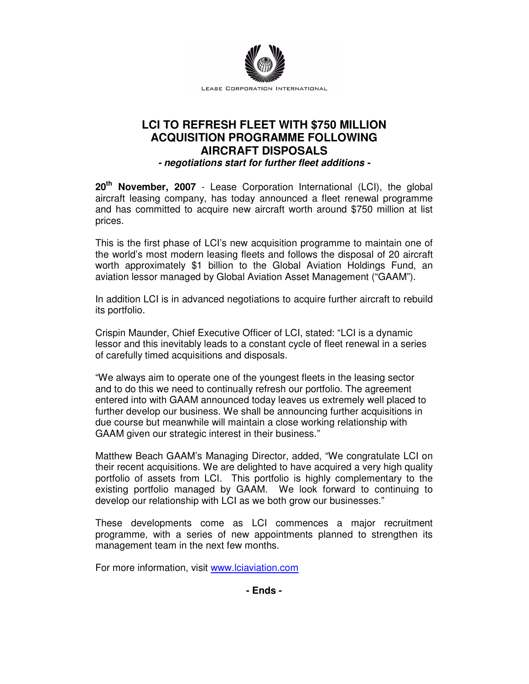

## **LCI TO REFRESH FLEET WITH \$750 MILLION ACQUISITION PROGRAMME FOLLOWING AIRCRAFT DISPOSALS - negotiations start for further fleet additions -**

**20th November, 2007** - Lease Corporation International (LCI), the global aircraft leasing company, has today announced a fleet renewal programme and has committed to acquire new aircraft worth around \$750 million at list prices.

This is the first phase of LCI's new acquisition programme to maintain one of the world's most modern leasing fleets and follows the disposal of 20 aircraft worth approximately \$1 billion to the Global Aviation Holdings Fund, an aviation lessor managed by Global Aviation Asset Management ("GAAM").

In addition LCI is in advanced negotiations to acquire further aircraft to rebuild its portfolio.

Crispin Maunder, Chief Executive Officer of LCI, stated: "LCI is a dynamic lessor and this inevitably leads to a constant cycle of fleet renewal in a series of carefully timed acquisitions and disposals.

"We always aim to operate one of the youngest fleets in the leasing sector and to do this we need to continually refresh our portfolio. The agreement entered into with GAAM announced today leaves us extremely well placed to further develop our business. We shall be announcing further acquisitions in due course but meanwhile will maintain a close working relationship with GAAM given our strategic interest in their business."

Matthew Beach GAAM's Managing Director, added, "We congratulate LCI on their recent acquisitions. We are delighted to have acquired a very high quality portfolio of assets from LCI. This portfolio is highly complementary to the existing portfolio managed by GAAM. We look forward to continuing to develop our relationship with LCI as we both grow our businesses."

These developments come as LCI commences a major recruitment programme, with a series of new appointments planned to strengthen its management team in the next few months.

For more information, visit www.lciaviation.com

**- Ends -**